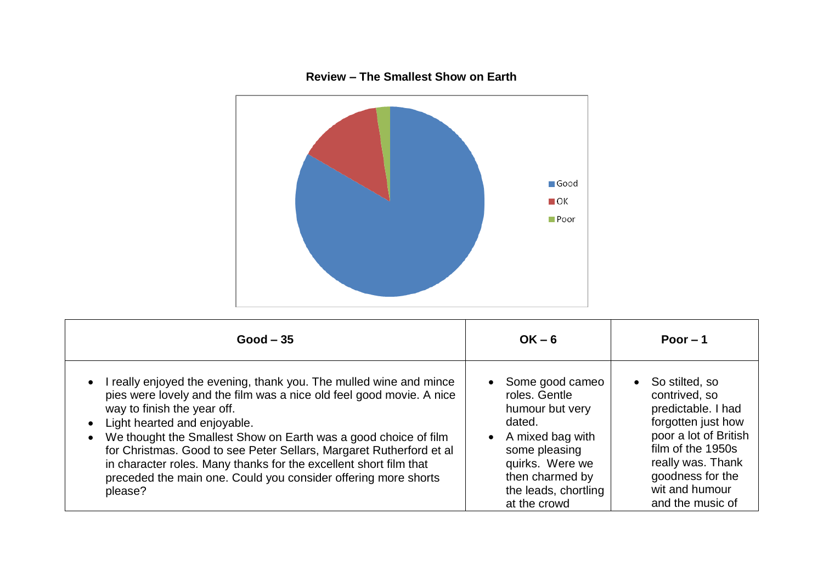

## **Good – 35 OK – 6 Poor – 1**  • I really enjoyed the evening, thank you. The mulled wine and mince pies were lovely and the film was a nice old feel good movie. A nice way to finish the year off. • Light hearted and enjoyable. We thought the Smallest Show on Earth was a good choice of film for Christmas. Good to see Peter Sellars, Margaret Rutherford et al in character roles. Many thanks for the excellent short film that preceded the main one. Could you consider offering more shorts please? • Some good cameo roles. Gentle humour but very dated. • A mixed bag with some pleasing quirks. Were we then charmed by the leads, chortling at the crowd • So stilted, so contrived, so predictable. I had forgotten just how poor a lot of British film of the 1950s really was. Thank goodness for the wit and humour and the music of

## **Review – The Smallest Show on Earth**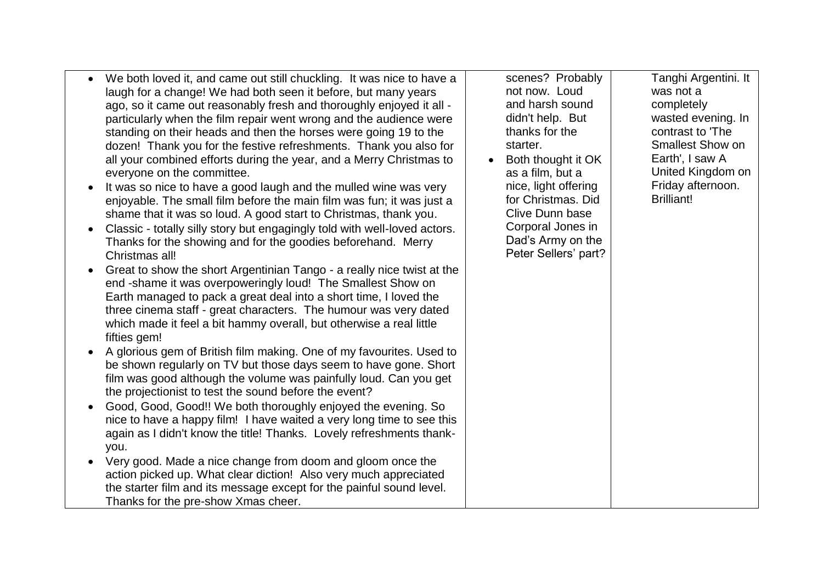| We both loved it, and came out still chuckling. It was nice to have a     | scenes? Probably     | Tanghi Argentini. It                   |
|---------------------------------------------------------------------------|----------------------|----------------------------------------|
| laugh for a change! We had both seen it before, but many years            | not now. Loud        | was not a                              |
| ago, so it came out reasonably fresh and thoroughly enjoyed it all -      | and harsh sound      | completely                             |
| particularly when the film repair went wrong and the audience were        | didn't help. But     | wasted evening. In                     |
| standing on their heads and then the horses were going 19 to the          | thanks for the       | contrast to 'The                       |
|                                                                           | starter.             | <b>Smallest Show on</b>                |
| dozen! Thank you for the festive refreshments. Thank you also for         |                      | Earth', I saw A                        |
| all your combined efforts during the year, and a Merry Christmas to       | Both thought it OK   |                                        |
| everyone on the committee.                                                | as a film, but a     | United Kingdom on                      |
| It was so nice to have a good laugh and the mulled wine was very          | nice, light offering | Friday afternoon.<br><b>Brilliant!</b> |
| enjoyable. The small film before the main film was fun; it was just a     | for Christmas. Did   |                                        |
| shame that it was so loud. A good start to Christmas, thank you.          | Clive Dunn base      |                                        |
| Classic - totally silly story but engagingly told with well-loved actors. | Corporal Jones in    |                                        |
| Thanks for the showing and for the goodies beforehand. Merry              | Dad's Army on the    |                                        |
| Christmas all!                                                            | Peter Sellers' part? |                                        |
| Great to show the short Argentinian Tango - a really nice twist at the    |                      |                                        |
| end -shame it was overpoweringly loud! The Smallest Show on               |                      |                                        |
| Earth managed to pack a great deal into a short time, I loved the         |                      |                                        |
| three cinema staff - great characters. The humour was very dated          |                      |                                        |
| which made it feel a bit hammy overall, but otherwise a real little       |                      |                                        |
| fifties gem!                                                              |                      |                                        |
| A glorious gem of British film making. One of my favourites. Used to      |                      |                                        |
| be shown regularly on TV but those days seem to have gone. Short          |                      |                                        |
| film was good although the volume was painfully loud. Can you get         |                      |                                        |
| the projectionist to test the sound before the event?                     |                      |                                        |
| Good, Good, Good!! We both thoroughly enjoyed the evening. So             |                      |                                        |
| nice to have a happy film! I have waited a very long time to see this     |                      |                                        |
| again as I didn't know the title! Thanks. Lovely refreshments thank-      |                      |                                        |
| you.                                                                      |                      |                                        |
| Very good. Made a nice change from doom and gloom once the                |                      |                                        |
| action picked up. What clear diction! Also very much appreciated          |                      |                                        |
| the starter film and its message except for the painful sound level.      |                      |                                        |
| Thanks for the pre-show Xmas cheer.                                       |                      |                                        |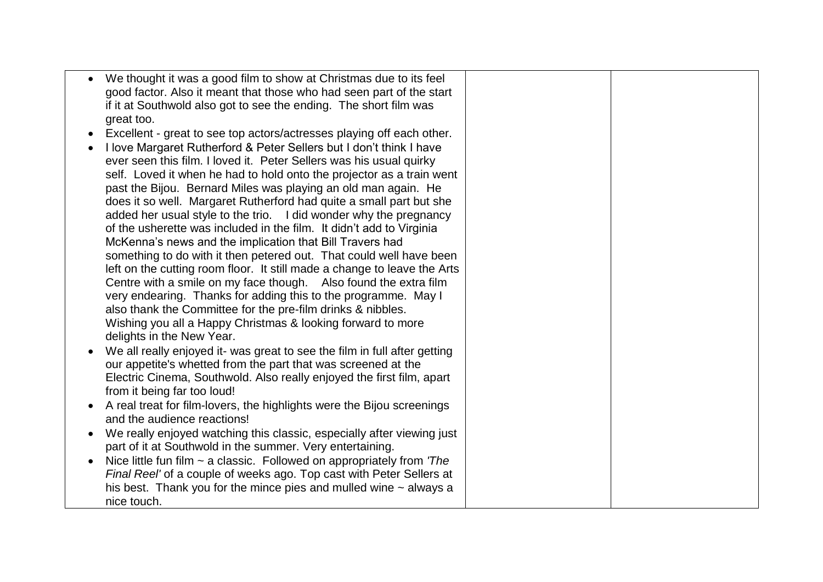| We thought it was a good film to show at Christmas due to its feel<br>good factor. Also it meant that those who had seen part of the start<br>if it at Southwold also got to see the ending. The short film was                                                                                                                                                                                                                                                                                                                                                                                                                                                                                                                                                                                                                                                                                                                                                                                                                                                                                                                                                                                                                                                                                                                                                                                                                                                                                                                                                                                                                                                                                      |  |
|------------------------------------------------------------------------------------------------------------------------------------------------------------------------------------------------------------------------------------------------------------------------------------------------------------------------------------------------------------------------------------------------------------------------------------------------------------------------------------------------------------------------------------------------------------------------------------------------------------------------------------------------------------------------------------------------------------------------------------------------------------------------------------------------------------------------------------------------------------------------------------------------------------------------------------------------------------------------------------------------------------------------------------------------------------------------------------------------------------------------------------------------------------------------------------------------------------------------------------------------------------------------------------------------------------------------------------------------------------------------------------------------------------------------------------------------------------------------------------------------------------------------------------------------------------------------------------------------------------------------------------------------------------------------------------------------------|--|
| great too.<br>Excellent - great to see top actors/actresses playing off each other.<br>I love Margaret Rutherford & Peter Sellers but I don't think I have<br>ever seen this film. I loved it. Peter Sellers was his usual quirky<br>self. Loved it when he had to hold onto the projector as a train went<br>past the Bijou. Bernard Miles was playing an old man again. He<br>does it so well. Margaret Rutherford had quite a small part but she<br>added her usual style to the trio. I did wonder why the pregnancy<br>of the usherette was included in the film. It didn't add to Virginia<br>McKenna's news and the implication that Bill Travers had<br>something to do with it then petered out. That could well have been<br>left on the cutting room floor. It still made a change to leave the Arts<br>Centre with a smile on my face though. Also found the extra film<br>very endearing. Thanks for adding this to the programme. May I<br>also thank the Committee for the pre-film drinks & nibbles.<br>Wishing you all a Happy Christmas & looking forward to more<br>delights in the New Year.<br>We all really enjoyed it- was great to see the film in full after getting<br>our appetite's whetted from the part that was screened at the<br>Electric Cinema, Southwold. Also really enjoyed the first film, apart<br>from it being far too loud!<br>A real treat for film-lovers, the highlights were the Bijou screenings<br>and the audience reactions!<br>We really enjoyed watching this classic, especially after viewing just<br>part of it at Southwold in the summer. Very entertaining.<br>Nice little fun film $\sim$ a classic. Followed on appropriately from 'The |  |
| Final Reel' of a couple of weeks ago. Top cast with Peter Sellers at<br>his best. Thank you for the mince pies and mulled wine $\sim$ always a<br>nice touch.                                                                                                                                                                                                                                                                                                                                                                                                                                                                                                                                                                                                                                                                                                                                                                                                                                                                                                                                                                                                                                                                                                                                                                                                                                                                                                                                                                                                                                                                                                                                        |  |